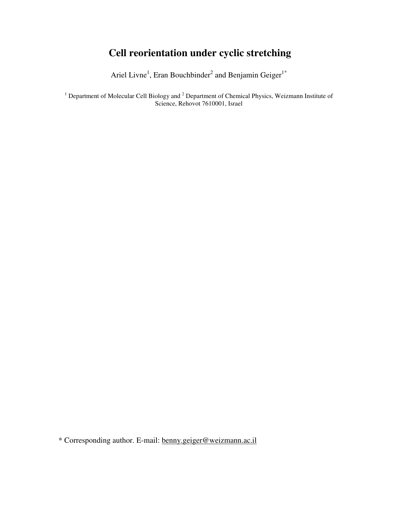# **Cell reorientation under cyclic stretching**

Ariel Livne<sup>1</sup>, Eran Bouchbinder<sup>2</sup> and Benjamin Geiger<sup>1\*</sup>

<sup>1</sup> Department of Molecular Cell Biology and  $2$  Department of Chemical Physics, Weizmann Institute of Science, Rehovot 7610001, Israel

\* Corresponding author. E-mail: benny.geiger@weizmann.ac.il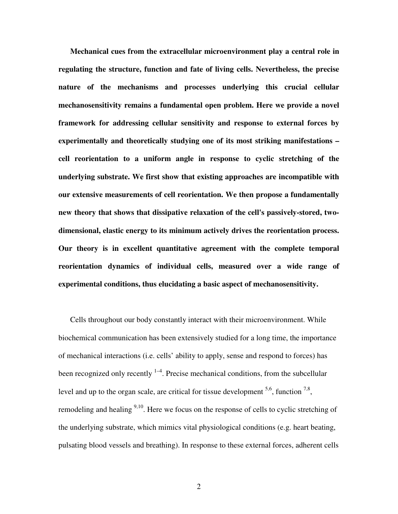**Mechanical cues from the extracellular microenvironment play a central role in regulating the structure, function and fate of living cells. Nevertheless, the precise nature of the mechanisms and processes underlying this crucial cellular mechanosensitivity remains a fundamental open problem. Here we provide a novel framework for addressing cellular sensitivity and response to external forces by experimentally and theoretically studying one of its most striking manifestations – cell reorientation to a uniform angle in response to cyclic stretching of the underlying substrate. We first show that existing approaches are incompatible with our extensive measurements of cell reorientation. We then propose a fundamentally new theory that shows that dissipative relaxation of the cell's passively-stored, twodimensional, elastic energy to its minimum actively drives the reorientation process. Our theory is in excellent quantitative agreement with the complete temporal reorientation dynamics of individual cells, measured over a wide range of experimental conditions, thus elucidating a basic aspect of mechanosensitivity.** 

Cells throughout our body constantly interact with their microenvironment. While biochemical communication has been extensively studied for a long time, the importance of mechanical interactions (i.e. cells' ability to apply, sense and respond to forces) has been recognized only recently  $1-4$ . Precise mechanical conditions, from the subcellular level and up to the organ scale, are critical for tissue development  $5.6$ , function  $7.8$ , remodeling and healing  $9,10$ . Here we focus on the response of cells to cyclic stretching of the underlying substrate, which mimics vital physiological conditions (e.g. heart beating, pulsating blood vessels and breathing). In response to these external forces, adherent cells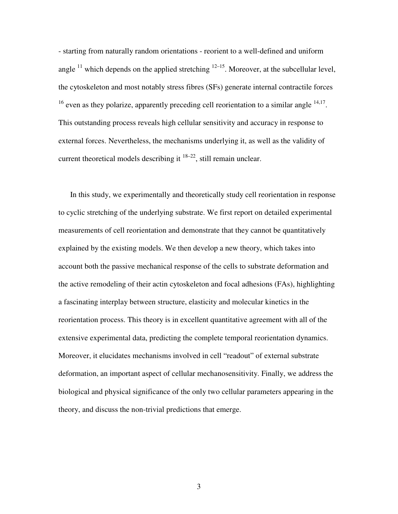- starting from naturally random orientations - reorient to a well-defined and uniform angle  $^{11}$  which depends on the applied stretching  $^{12-15}$ . Moreover, at the subcellular level, the cytoskeleton and most notably stress fibres (SFs) generate internal contractile forces  $16$  even as they polarize, apparently preceding cell reorientation to a similar angle  $14,17$ . This outstanding process reveals high cellular sensitivity and accuracy in response to external forces. Nevertheless, the mechanisms underlying it, as well as the validity of current theoretical models describing it  $18-22$ , still remain unclear.

In this study, we experimentally and theoretically study cell reorientation in response to cyclic stretching of the underlying substrate. We first report on detailed experimental measurements of cell reorientation and demonstrate that they cannot be quantitatively explained by the existing models. We then develop a new theory, which takes into account both the passive mechanical response of the cells to substrate deformation and the active remodeling of their actin cytoskeleton and focal adhesions (FAs), highlighting a fascinating interplay between structure, elasticity and molecular kinetics in the reorientation process. This theory is in excellent quantitative agreement with all of the extensive experimental data, predicting the complete temporal reorientation dynamics. Moreover, it elucidates mechanisms involved in cell "readout" of external substrate deformation, an important aspect of cellular mechanosensitivity. Finally, we address the biological and physical significance of the only two cellular parameters appearing in the theory, and discuss the non-trivial predictions that emerge.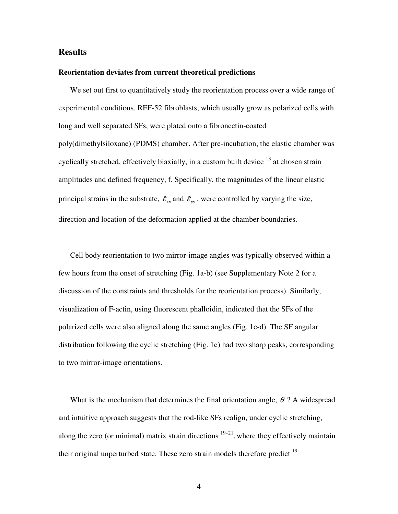# **Results**

## **Reorientation deviates from current theoretical predictions**

We set out first to quantitatively study the reorientation process over a wide range of experimental conditions. REF-52 fibroblasts, which usually grow as polarized cells with long and well separated SFs, were plated onto a fibronectin-coated poly(dimethylsiloxane) (PDMS) chamber. After pre-incubation, the elastic chamber was cyclically stretched, effectively biaxially, in a custom built device  $13$  at chosen strain amplitudes and defined frequency, f. Specifically, the magnitudes of the linear elastic principal strains in the substrate,  $\vec{\epsilon}_{xx}$ ( and  $\check{\mathcal{E}}_{yy}$ ( , were controlled by varying the size, direction and location of the deformation applied at the chamber boundaries.

Cell body reorientation to two mirror-image angles was typically observed within a few hours from the onset of stretching (Fig. 1a-b) (see Supplementary Note 2 for a discussion of the constraints and thresholds for the reorientation process). Similarly, visualization of F-actin, using fluorescent phalloidin, indicated that the SFs of the polarized cells were also aligned along the same angles (Fig. 1c-d). The SF angular distribution following the cyclic stretching (Fig. 1e) had two sharp peaks, corresponding to two mirror-image orientations.

What is the mechanism that determines the final orientation angle,  $\bar{\theta}$  ? A widespread and intuitive approach suggests that the rod-like SFs realign, under cyclic stretching, along the zero (or minimal) matrix strain directions  $19-21$ , where they effectively maintain their original unperturbed state. These zero strain models therefore predict  $19$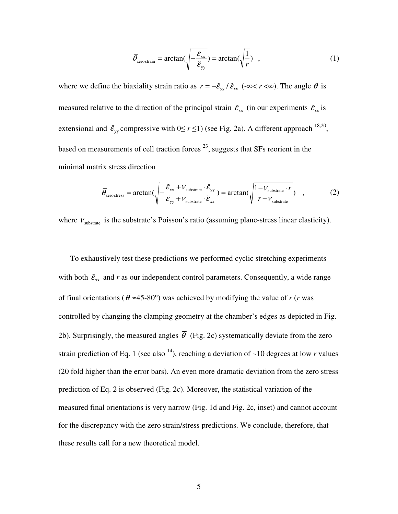$$
\overline{\theta}_{\text{zero strain}} = \arctan\left(\sqrt{-\frac{\breve{\varepsilon}_{\text{xx}}}{\breve{\varepsilon}_{\text{yy}}}}\right) = \arctan\left(\sqrt{\frac{1}{r}}\right) \tag{1}
$$

where we define the biaxiality strain ratio as  $r = -\tilde{\epsilon}_{yy}/\tilde{\epsilon}_{xx}$ .<br>بارول ب  $r = -\tilde{\epsilon}_{\rm w}/\tilde{\epsilon}_{\rm xx}$  (-∞< *r* <∞). The angle  $\theta$  is measured relative to the direction of the principal strain  $\vec{\epsilon}_{xx}$ ( (in our experiments  $\check{\varepsilon}_{xx}$ ( is extensional and  $\tilde{\mathcal{E}}_{yy}$ ( compressive with  $0 \le r \le 1$ ) (see Fig. 2a). A different approach <sup>18,20</sup>, based on measurements of cell traction forces  $^{23}$ , suggests that SFs reorient in the minimal matrix stress direction

$$
\overline{\theta}_{\text{zero stress}} = \arctan\left(\sqrt{-\frac{\breve{\varepsilon}_{\text{xx}} + \nu_{\text{substrate}} \cdot \breve{\varepsilon}_{\text{yy}}}{\breve{\varepsilon}_{\text{yy}} + \nu_{\text{substrate}} \cdot \breve{\varepsilon}_{\text{xx}}}\right) = \arctan\left(\sqrt{\frac{1 - \nu_{\text{substrate}} \cdot r}{r - \nu_{\text{substrate}}}}\right) \quad , \tag{2}
$$

where  $v_{\text{substrate}}$  is the substrate's Poisson's ratio (assuming plane-stress linear elasticity).

To exhaustively test these predictions we performed cyclic stretching experiments with both  $\check{\varepsilon}_{xx}$ ( and *r* as our independent control parameters. Consequently, a wide range of final orientations ( $\bar{\theta} \approx 45{\text -}80^{\circ}$ ) was achieved by modifying the value of *r* (*r* was controlled by changing the clamping geometry at the chamber's edges as depicted in Fig. 2b). Surprisingly, the measured angles  $\bar{\theta}$  (Fig. 2c) systematically deviate from the zero strain prediction of Eq. 1 (see also <sup>14</sup>), reaching a deviation of  $\sim$ 10 degrees at low *r* values (20 fold higher than the error bars). An even more dramatic deviation from the zero stress prediction of Eq. 2 is observed (Fig. 2c). Moreover, the statistical variation of the measured final orientations is very narrow (Fig. 1d and Fig. 2c, inset) and cannot account for the discrepancy with the zero strain/stress predictions. We conclude, therefore, that these results call for a new theoretical model.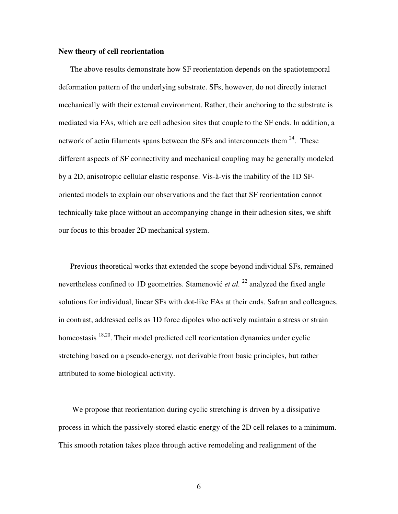#### **New theory of cell reorientation**

The above results demonstrate how SF reorientation depends on the spatiotemporal deformation pattern of the underlying substrate. SFs, however, do not directly interact mechanically with their external environment. Rather, their anchoring to the substrate is mediated via FAs, which are cell adhesion sites that couple to the SF ends. In addition, a network of actin filaments spans between the SFs and interconnects them  $24$ . These different aspects of SF connectivity and mechanical coupling may be generally modeled by a 2D, anisotropic cellular elastic response. Vis-à-vis the inability of the 1D SForiented models to explain our observations and the fact that SF reorientation cannot technically take place without an accompanying change in their adhesion sites, we shift our focus to this broader 2D mechanical system.

Previous theoretical works that extended the scope beyond individual SFs, remained nevertheless confined to 1D geometries. Stamenović *et al.* <sup>22</sup> analyzed the fixed angle solutions for individual, linear SFs with dot-like FAs at their ends. Safran and colleagues, in contrast, addressed cells as 1D force dipoles who actively maintain a stress or strain homeostasis  $18,20$ . Their model predicted cell reorientation dynamics under cyclic stretching based on a pseudo-energy, not derivable from basic principles, but rather attributed to some biological activity.

 We propose that reorientation during cyclic stretching is driven by a dissipative process in which the passively-stored elastic energy of the 2D cell relaxes to a minimum. This smooth rotation takes place through active remodeling and realignment of the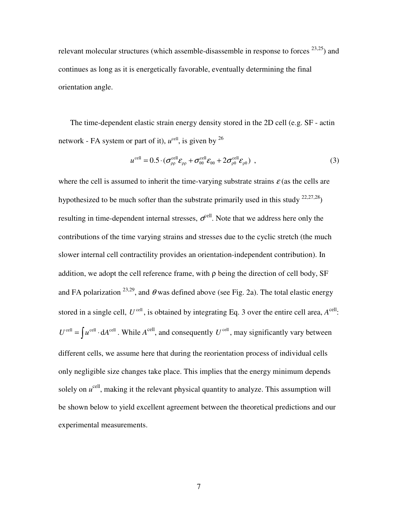relevant molecular structures (which assemble-disassemble in response to forces  $^{23,25}$ ) and continues as long as it is energetically favorable, eventually determining the final orientation angle.

The time-dependent elastic strain energy density stored in the 2D cell (e.g. SF - actin network - FA system or part of it),  $u^{\text{cell}}$ , is given by  $^{26}$ 

$$
u^{\text{cell}} = 0.5 \cdot (\sigma_{\rho\rho}^{\text{cell}} \mathcal{E}_{\rho\rho} + \sigma_{\theta\theta}^{\text{cell}} \mathcal{E}_{\theta\theta} + 2 \sigma_{\rho\theta}^{\text{cell}} \mathcal{E}_{\rho\theta}) \tag{3}
$$

where the cell is assumed to inherit the time-varying substrate strains  $\varepsilon$  (as the cells are hypothesized to be much softer than the substrate primarily used in this study  $22,27,28$ ) resulting in time-dependent internal stresses,  $\sigma^{\text{cell}}$ . Note that we address here only the contributions of the time varying strains and stresses due to the cyclic stretch (the much slower internal cell contractility provides an orientation-independent contribution). In addition, we adopt the cell reference frame, with  $\rho$  being the direction of cell body, SF and FA polarization <sup>23,29</sup>, and  $\theta$  was defined above (see Fig. 2a). The total elastic energy stored in a single cell,  $U^{\text{cell}}$ , is obtained by integrating Eq. 3 over the entire cell area,  $A^{\text{cell}}$ .  $U^{\text{cell}} = \int u^{\text{cell}} \cdot dA^{\text{cell}}$ . While  $A^{\text{cell}}$ , and consequently  $U^{\text{cell}}$ , may significantly vary between different cells, we assume here that during the reorientation process of individual cells only negligible size changes take place. This implies that the energy minimum depends solely on  $u^{\text{cell}}$ , making it the relevant physical quantity to analyze. This assumption will be shown below to yield excellent agreement between the theoretical predictions and our experimental measurements.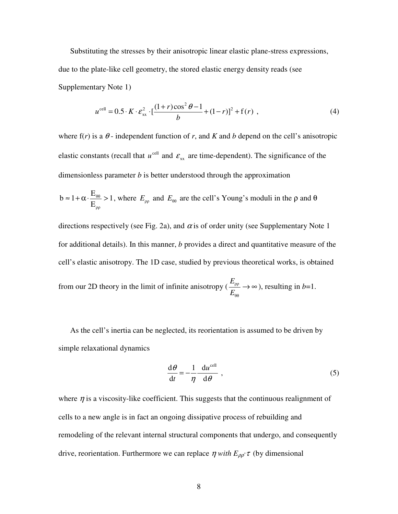Substituting the stresses by their anisotropic linear elastic plane-stress expressions, due to the plate-like cell geometry, the stored elastic energy density reads (see Supplementary Note 1)

$$
u^{\text{cell}} = 0.5 \cdot K \cdot \varepsilon_{xx}^{2} \cdot \left[ \frac{(1+r)\cos^{2}\theta - 1}{b} + (1-r)\right]^{2} + f(r) , \qquad (4)
$$

where  $f(r)$  is a  $\theta$ -independent function of r, and K and b depend on the cell's anisotropic elastic constants (recall that  $u^{\text{cell}}$  and  $\varepsilon_{xx}$  are time-dependent). The significance of the dimensionless parameter *b* is better understood through the approximation

$$
b \approx 1 + \alpha \cdot \frac{E_{\theta\theta}}{E_{\rho\rho}} > 1
$$
, where  $E_{\rho\rho}$  and  $E_{\theta\theta}$  are the cell's Young's moduli in the  $\rho$  and  $\theta$ 

directions respectively (see Fig. 2a), and  $\alpha$  is of order unity (see Supplementary Note 1 for additional details). In this manner, *b* provides a direct and quantitative measure of the cell's elastic anisotropy. The 1D case, studied by previous theoretical works, is obtained from our 2D theory in the limit of infinite anisotropy ( $\frac{-\rho \rho}{\Gamma} \rightarrow \infty$ θθ ρρ *E E* ), resulting in  $b=1$ .

As the cell's inertia can be neglected, its reorientation is assumed to be driven by simple relaxational dynamics

$$
\frac{\mathrm{d}\theta}{\mathrm{d}t} = -\frac{1}{\eta} \frac{\mathrm{d}u^{\text{cell}}}{\mathrm{d}\theta} , \qquad (5)
$$

where  $\eta$  is a viscosity-like coefficient. This suggests that the continuous realignment of cells to a new angle is in fact an ongoing dissipative process of rebuilding and remodeling of the relevant internal structural components that undergo, and consequently drive, reorientation. Furthermore we can replace  $\eta$  with  $E_{\rho\rho} \tau$  (by dimensional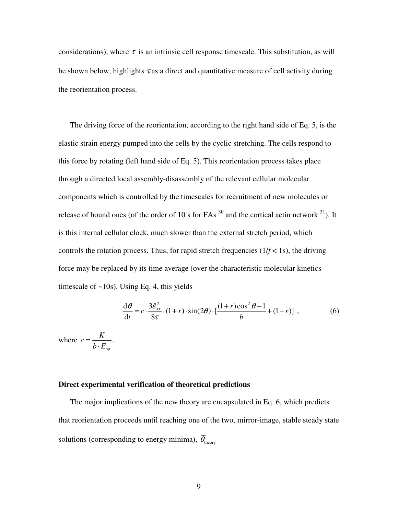considerations), where  $\tau$  is an intrinsic cell response timescale. This substitution, as will be shown below, highlights  $\tau$  as a direct and quantitative measure of cell activity during the reorientation process.

The driving force of the reorientation, according to the right hand side of Eq. 5, is the elastic strain energy pumped into the cells by the cyclic stretching. The cells respond to this force by rotating (left hand side of Eq. 5). This reorientation process takes place through a directed local assembly-disassembly of the relevant cellular molecular components which is controlled by the timescales for recruitment of new molecules or release of bound ones (of the order of 10 s for FAs  $^{30}$  and the cortical actin network  $^{31}$ ). It is this internal cellular clock, much slower than the external stretch period, which controls the rotation process. Thus, for rapid stretch frequencies  $(1/f < 1s)$ , the driving force may be replaced by its time average (over the characteristic molecular kinetics timescale of  $\sim$ 10s). Using Eq. 4, this yields

$$
\frac{d\theta}{dt} = c \cdot \frac{3\tilde{\varepsilon}_{xx}^2}{8\tau} \cdot (1+r) \cdot \sin(2\theta) \cdot \left[\frac{(1+r)\cos^2\theta - 1}{b} + (1-r)\right] ,\tag{6}
$$

where  $b\cdot E_{\rho\rho}$  $c = \frac{K}{\sqrt{2}}$ ⋅  $=\frac{1}{1-\overline{n}}$ .

#### **Direct experimental verification of theoretical predictions**

The major implications of the new theory are encapsulated in Eq. 6, which predicts that reorientation proceeds until reaching one of the two, mirror-image, stable steady state solutions (corresponding to energy minima),  $\overline{\theta}_{\text{theory}}$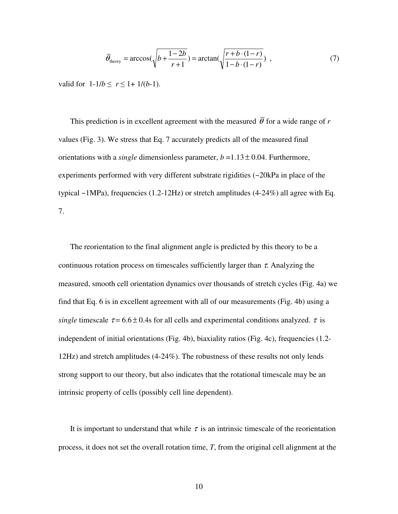$$
\overline{\theta}_{\text{theory}} = \arccos\left(\sqrt{b + \frac{1 - 2b}{r + 1}}\right) = \arctan\left(\sqrt{\frac{r + b \cdot (1 - r)}{1 - b \cdot (1 - r)}}\right) \tag{7}
$$

valid for  $1-1/b \le r \le 1+1/(b-1)$ .

This prediction is in excellent agreement with the measured  $\overline{\theta}$  for a wide range of r values (Fig. 3). We stress that Eq. 7 accurately predicts all of the measured final orientations with a *single* dimensionless parameter, *b* =1.13 ± 0.04. Furthermore, experiments performed with very different substrate rigidities (~20kPa in place of the typical  $\sim$ 1MPa), frequencies (1.2-12Hz) or stretch amplitudes (4-24%) all agree with Eq. 7.

The reorientation to the final alignment angle is predicted by this theory to be a continuous rotation process on timescales sufficiently larger than  $\tau$ . Analyzing the measured, smooth cell orientation dynamics over thousands of stretch cycles (Fig. 4a) we find that Eq. 6 is in excellent agreement with all of our measurements (Fig. 4b) using a *single* timescale  $\tau = 6.6 \pm 0.4$ s for all cells and experimental conditions analyzed.  $\tau$  is independent of initial orientations (Fig. 4b), biaxiality ratios (Fig. 4c), frequencies (1.2- 12Hz) and stretch amplitudes (4-24%). The robustness of these results not only lends strong support to our theory, but also indicates that the rotational timescale may be an intrinsic property of cells (possibly cell line dependent).

It is important to understand that while  $\tau$  is an intrinsic timescale of the reorientation process, it does not set the overall rotation time, *T*, from the original cell alignment at the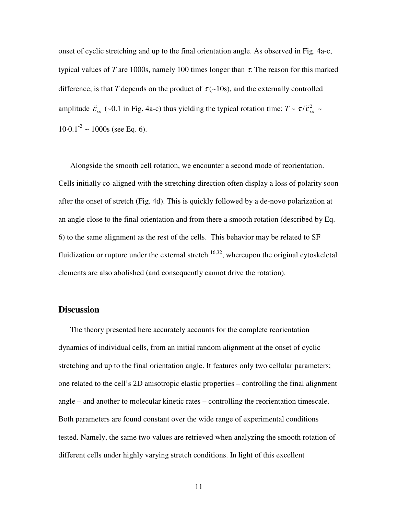onset of cyclic stretching and up to the final orientation angle. As observed in Fig. 4a-c, typical values of *T* are 1000s, namely 100 times longer than  $\tau$ . The reason for this marked difference, is that *T* depends on the product of  $\tau$ (~10s), and the externally controlled amplitude  $\tilde{\varepsilon}_{xx}$ ( (~0.1 in Fig. 4a-c) thus yielding the typical rotation time:  $T \sim \tau / \tilde{\epsilon}_{xx}^2$ (  $\thicksim$  $10 \cdot 0.1^{-2} \sim 1000$ s (see Eq. 6).

Alongside the smooth cell rotation, we encounter a second mode of reorientation. Cells initially co-aligned with the stretching direction often display a loss of polarity soon after the onset of stretch (Fig. 4d). This is quickly followed by a de-novo polarization at an angle close to the final orientation and from there a smooth rotation (described by Eq. 6) to the same alignment as the rest of the cells. This behavior may be related to SF fluidization or rupture under the external stretch  $16,32$ , whereupon the original cytoskeletal elements are also abolished (and consequently cannot drive the rotation).

# **Discussion**

The theory presented here accurately accounts for the complete reorientation dynamics of individual cells, from an initial random alignment at the onset of cyclic stretching and up to the final orientation angle. It features only two cellular parameters; one related to the cell's 2D anisotropic elastic properties – controlling the final alignment angle – and another to molecular kinetic rates – controlling the reorientation timescale. Both parameters are found constant over the wide range of experimental conditions tested. Namely, the same two values are retrieved when analyzing the smooth rotation of different cells under highly varying stretch conditions. In light of this excellent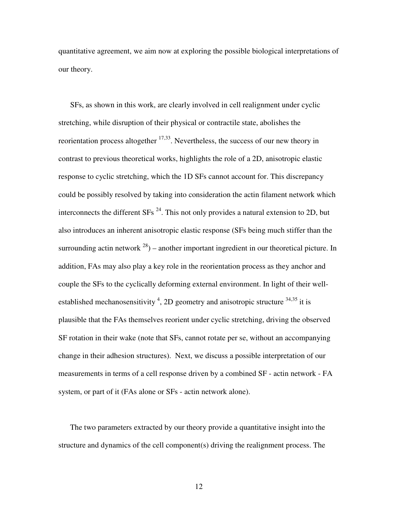quantitative agreement, we aim now at exploring the possible biological interpretations of our theory.

SFs, as shown in this work, are clearly involved in cell realignment under cyclic stretching, while disruption of their physical or contractile state, abolishes the reorientation process altogether  $17,33$ . Nevertheless, the success of our new theory in contrast to previous theoretical works, highlights the role of a 2D, anisotropic elastic response to cyclic stretching, which the 1D SFs cannot account for. This discrepancy could be possibly resolved by taking into consideration the actin filament network which interconnects the different  $SFs^{24}$ . This not only provides a natural extension to 2D, but also introduces an inherent anisotropic elastic response (SFs being much stiffer than the surrounding actin network  $^{28}$ ) – another important ingredient in our theoretical picture. In addition, FAs may also play a key role in the reorientation process as they anchor and couple the SFs to the cyclically deforming external environment. In light of their wellestablished mechanosensitivity<sup>4</sup>, 2D geometry and anisotropic structure  $34,35$  it is plausible that the FAs themselves reorient under cyclic stretching, driving the observed SF rotation in their wake (note that SFs, cannot rotate per se, without an accompanying change in their adhesion structures). Next, we discuss a possible interpretation of our measurements in terms of a cell response driven by a combined SF - actin network - FA system, or part of it (FAs alone or SFs - actin network alone).

The two parameters extracted by our theory provide a quantitative insight into the structure and dynamics of the cell component(s) driving the realignment process. The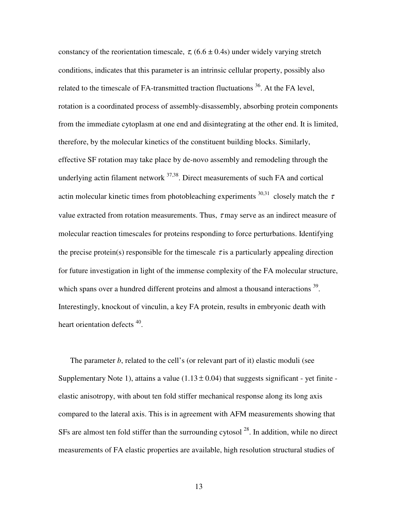constancy of the reorientation timescale,  $\tau$ , (6.6  $\pm$  0.4s) under widely varying stretch conditions, indicates that this parameter is an intrinsic cellular property, possibly also related to the timescale of FA-transmitted traction fluctuations  $36$ . At the FA level, rotation is a coordinated process of assembly-disassembly, absorbing protein components from the immediate cytoplasm at one end and disintegrating at the other end. It is limited, therefore, by the molecular kinetics of the constituent building blocks. Similarly, effective SF rotation may take place by de-novo assembly and remodeling through the underlying actin filament network <sup>37,38</sup>. Direct measurements of such FA and cortical actin molecular kinetic times from photobleaching experiments  $30,31$  closely match the  $\tau$ value extracted from rotation measurements. Thus,  $\tau$  may serve as an indirect measure of molecular reaction timescales for proteins responding to force perturbations. Identifying the precise protein(s) responsible for the timescale  $\tau$  is a particularly appealing direction for future investigation in light of the immense complexity of the FA molecular structure, which spans over a hundred different proteins and almost a thousand interactions <sup>39</sup>. Interestingly, knockout of vinculin, a key FA protein, results in embryonic death with heart orientation defects <sup>40</sup>.

The parameter *b*, related to the cell's (or relevant part of it) elastic moduli (see Supplementary Note 1), attains a value  $(1.13 \pm 0.04)$  that suggests significant - yet finite elastic anisotropy, with about ten fold stiffer mechanical response along its long axis compared to the lateral axis. This is in agreement with AFM measurements showing that SFs are almost ten fold stiffer than the surrounding cytosol  $^{28}$ . In addition, while no direct measurements of FA elastic properties are available, high resolution structural studies of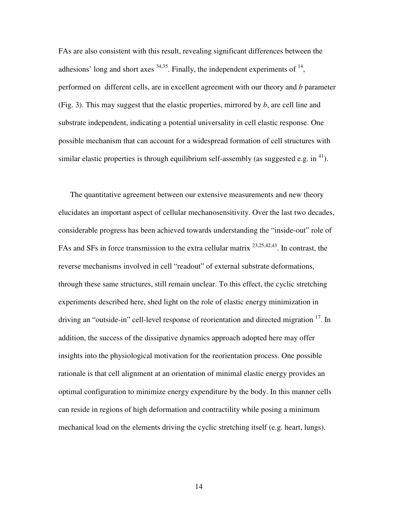FAs are also consistent with this result, revealing significant differences between the adhesions' long and short axes  $34,35$ . Finally, the independent experiments of  $14$ , performed on different cells, are in excellent agreement with our theory and *b* parameter (Fig. 3). This may suggest that the elastic properties, mirrored by *b*, are cell line and substrate independent, indicating a potential universality in cell elastic response. One possible mechanism that can account for a widespread formation of cell structures with similar elastic properties is through equilibrium self-assembly (as suggested e.g. in  $^{41}$ ).

The quantitative agreement between our extensive measurements and new theory elucidates an important aspect of cellular mechanosensitivity. Over the last two decades, considerable progress has been achieved towards understanding the "inside-out" role of FAs and SFs in force transmission to the extra cellular matrix <sup>23,25,42,43</sup>. In contrast, the reverse mechanisms involved in cell "readout" of external substrate deformations, through these same structures, still remain unclear. To this effect, the cyclic stretching experiments described here, shed light on the role of elastic energy minimization in driving an "outside-in" cell-level response of reorientation and directed migration <sup>17</sup>. In addition, the success of the dissipative dynamics approach adopted here may offer insights into the physiological motivation for the reorientation process. One possible rationale is that cell alignment at an orientation of minimal elastic energy provides an optimal configuration to minimize energy expenditure by the body. In this manner cells can reside in regions of high deformation and contractility while posing a minimum mechanical load on the elements driving the cyclic stretching itself (e.g. heart, lungs).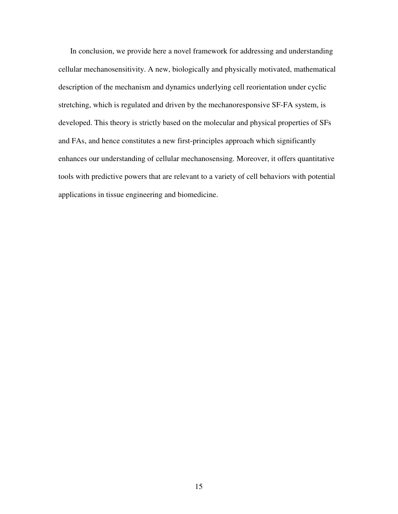In conclusion, we provide here a novel framework for addressing and understanding cellular mechanosensitivity. A new, biologically and physically motivated, mathematical description of the mechanism and dynamics underlying cell reorientation under cyclic stretching, which is regulated and driven by the mechanoresponsive SF-FA system, is developed. This theory is strictly based on the molecular and physical properties of SFs and FAs, and hence constitutes a new first-principles approach which significantly enhances our understanding of cellular mechanosensing. Moreover, it offers quantitative tools with predictive powers that are relevant to a variety of cell behaviors with potential applications in tissue engineering and biomedicine.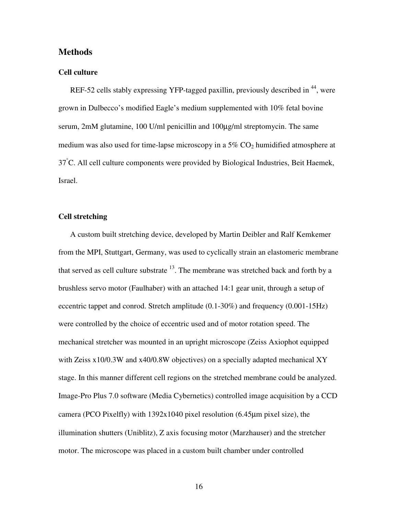# **Methods**

#### **Cell culture**

REF-52 cells stably expressing YFP-tagged paxillin, previously described in <sup>44</sup>, were grown in Dulbecco's modified Eagle's medium supplemented with 10% fetal bovine serum, 2mM glutamine, 100 U/ml penicillin and 100µg/ml streptomycin. The same medium was also used for time-lapse microscopy in a  $5\%$  CO<sub>2</sub> humidified atmosphere at 37°C. All cell culture components were provided by Biological Industries, Beit Haemek, Israel.

# **Cell stretching**

A custom built stretching device, developed by Martin Deibler and Ralf Kemkemer from the MPI, Stuttgart, Germany, was used to cyclically strain an elastomeric membrane that served as cell culture substrate  $13$ . The membrane was stretched back and forth by a brushless servo motor (Faulhaber) with an attached 14:1 gear unit, through a setup of eccentric tappet and conrod. Stretch amplitude (0.1-30%) and frequency (0.001-15Hz) were controlled by the choice of eccentric used and of motor rotation speed. The mechanical stretcher was mounted in an upright microscope (Zeiss Axiophot equipped with Zeiss x10/0.3W and x40/0.8W objectives) on a specially adapted mechanical XY stage. In this manner different cell regions on the stretched membrane could be analyzed. Image-Pro Plus 7.0 software (Media Cybernetics) controlled image acquisition by a CCD camera (PCO Pixelfly) with 1392x1040 pixel resolution (6.45µm pixel size), the illumination shutters (Uniblitz), Z axis focusing motor (Marzhauser) and the stretcher motor. The microscope was placed in a custom built chamber under controlled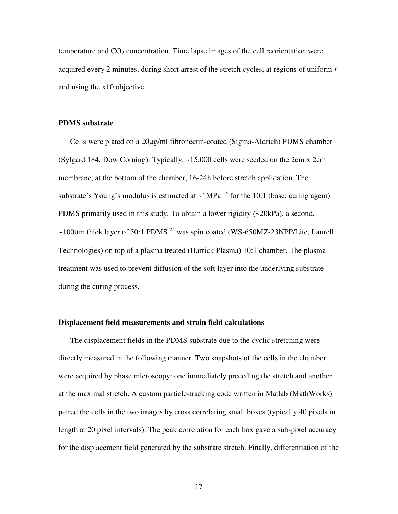temperature and  $CO<sub>2</sub>$  concentration. Time lapse images of the cell reorientation were acquired every 2 minutes, during short arrest of the stretch cycles, at regions of uniform *r*  and using the x10 objective.

## **PDMS substrate**

Cells were plated on a 20µg/ml fibronectin-coated (Sigma-Aldrich) PDMS chamber (Sylgard 184, Dow Corning). Typically, ~15,000 cells were seeded on the 2cm x 2cm membrane, at the bottom of the chamber, 16-24h before stretch application. The substrate's Young's modulus is estimated at  $\sim 1MPa$  <sup>13</sup> for the 10:1 (base: curing agent) PDMS primarily used in this study. To obtain a lower rigidity (~20kPa), a second,  $\sim$ 100 $\mu$ m thick layer of 50:1 PDMS<sup>23</sup> was spin coated (WS-650MZ-23NPP/Lite, Laurell Technologies) on top of a plasma treated (Harrick Plasma) 10:1 chamber. The plasma treatment was used to prevent diffusion of the soft layer into the underlying substrate during the curing process.

#### **Displacement field measurements and strain field calculations**

The displacement fields in the PDMS substrate due to the cyclic stretching were directly measured in the following manner. Two snapshots of the cells in the chamber were acquired by phase microscopy: one immediately preceding the stretch and another at the maximal stretch. A custom particle-tracking code written in Matlab (MathWorks) paired the cells in the two images by cross correlating small boxes (typically 40 pixels in length at 20 pixel intervals). The peak correlation for each box gave a sub-pixel accuracy for the displacement field generated by the substrate stretch. Finally, differentiation of the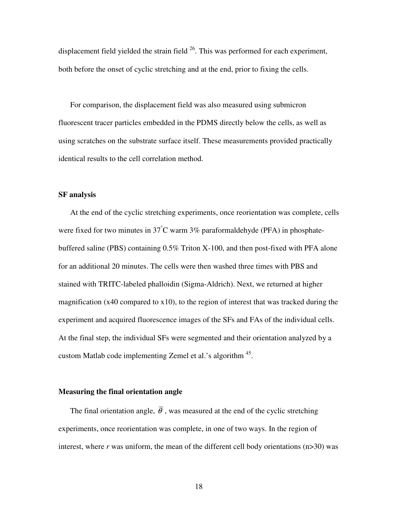displacement field yielded the strain field  $^{26}$ . This was performed for each experiment, both before the onset of cyclic stretching and at the end, prior to fixing the cells.

For comparison, the displacement field was also measured using submicron fluorescent tracer particles embedded in the PDMS directly below the cells, as well as using scratches on the substrate surface itself. These measurements provided practically identical results to the cell correlation method.

## **SF analysis**

At the end of the cyclic stretching experiments, once reorientation was complete, cells were fixed for two minutes in  $37^{\circ}$ C warm  $3\%$  paraformaldehyde (PFA) in phosphatebuffered saline (PBS) containing 0.5% Triton X-100, and then post-fixed with PFA alone for an additional 20 minutes. The cells were then washed three times with PBS and stained with TRITC-labeled phalloidin (Sigma-Aldrich). Next, we returned at higher magnification ( $x40$  compared to  $x10$ ), to the region of interest that was tracked during the experiment and acquired fluorescence images of the SFs and FAs of the individual cells. At the final step, the individual SFs were segmented and their orientation analyzed by a custom Matlab code implementing Zemel et al.'s algorithm <sup>45</sup>.

#### **Measuring the final orientation angle**

The final orientation angle,  $\overline{\theta}$ , was measured at the end of the cyclic stretching experiments, once reorientation was complete, in one of two ways. In the region of interest, where *r* was uniform, the mean of the different cell body orientations (n>30) was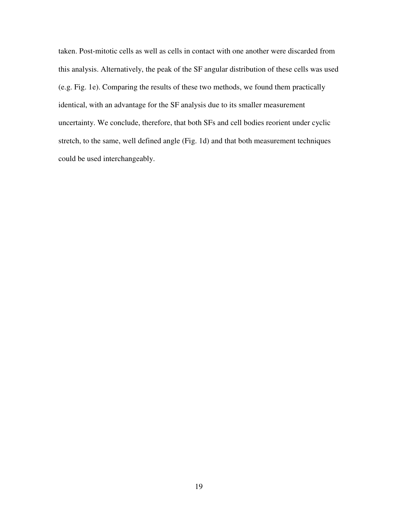taken. Post-mitotic cells as well as cells in contact with one another were discarded from this analysis. Alternatively, the peak of the SF angular distribution of these cells was used (e.g. Fig. 1e). Comparing the results of these two methods, we found them practically identical, with an advantage for the SF analysis due to its smaller measurement uncertainty. We conclude, therefore, that both SFs and cell bodies reorient under cyclic stretch, to the same, well defined angle (Fig. 1d) and that both measurement techniques could be used interchangeably.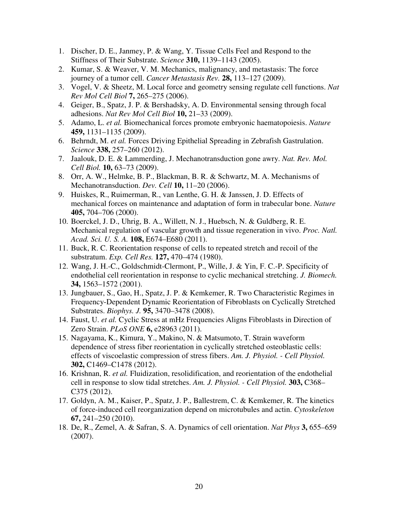- 1. Discher, D. E., Janmey, P. & Wang, Y. Tissue Cells Feel and Respond to the Stiffness of Their Substrate. *Science* **310,** 1139–1143 (2005).
- 2. Kumar, S. & Weaver, V. M. Mechanics, malignancy, and metastasis: The force journey of a tumor cell. *Cancer Metastasis Rev.* **28,** 113–127 (2009).
- 3. Vogel, V. & Sheetz, M. Local force and geometry sensing regulate cell functions. *Nat Rev Mol Cell Biol* **7,** 265–275 (2006).
- 4. Geiger, B., Spatz, J. P. & Bershadsky, A. D. Environmental sensing through focal adhesions. *Nat Rev Mol Cell Biol* **10,** 21–33 (2009).
- 5. Adamo, L. *et al.* Biomechanical forces promote embryonic haematopoiesis. *Nature* **459,** 1131–1135 (2009).
- 6. Behrndt, M. *et al.* Forces Driving Epithelial Spreading in Zebrafish Gastrulation. *Science* **338,** 257–260 (2012).
- 7. Jaalouk, D. E. & Lammerding, J. Mechanotransduction gone awry. *Nat. Rev. Mol. Cell Biol.* **10,** 63–73 (2009).
- 8. Orr, A. W., Helmke, B. P., Blackman, B. R. & Schwartz, M. A. Mechanisms of Mechanotransduction. *Dev. Cell* **10,** 11–20 (2006).
- 9. Huiskes, R., Ruimerman, R., van Lenthe, G. H. & Janssen, J. D. Effects of mechanical forces on maintenance and adaptation of form in trabecular bone. *Nature* **405,** 704–706 (2000).
- 10. Boerckel, J. D., Uhrig, B. A., Willett, N. J., Huebsch, N. & Guldberg, R. E. Mechanical regulation of vascular growth and tissue regeneration in vivo. *Proc. Natl. Acad. Sci. U. S. A.* **108,** E674–E680 (2011).
- 11. Buck, R. C. Reorientation response of cells to repeated stretch and recoil of the substratum. *Exp. Cell Res.* **127,** 470–474 (1980).
- 12. Wang, J. H.-C., Goldschmidt-Clermont, P., Wille, J. & Yin, F. C.-P. Specificity of endothelial cell reorientation in response to cyclic mechanical stretching. *J. Biomech.* **34,** 1563–1572 (2001).
- 13. Jungbauer, S., Gao, H., Spatz, J. P. & Kemkemer, R. Two Characteristic Regimes in Frequency-Dependent Dynamic Reorientation of Fibroblasts on Cyclically Stretched Substrates. *Biophys. J.* **95,** 3470–3478 (2008).
- 14. Faust, U. *et al.* Cyclic Stress at mHz Frequencies Aligns Fibroblasts in Direction of Zero Strain. *PLoS ONE* **6,** e28963 (2011).
- 15. Nagayama, K., Kimura, Y., Makino, N. & Matsumoto, T. Strain waveform dependence of stress fiber reorientation in cyclically stretched osteoblastic cells: effects of viscoelastic compression of stress fibers. *Am. J. Physiol. - Cell Physiol.* **302,** C1469–C1478 (2012).
- 16. Krishnan, R. *et al.* Fluidization, resolidification, and reorientation of the endothelial cell in response to slow tidal stretches. *Am. J. Physiol. - Cell Physiol.* **303,** C368– C375 (2012).
- 17. Goldyn, A. M., Kaiser, P., Spatz, J. P., Ballestrem, C. & Kemkemer, R. The kinetics of force-induced cell reorganization depend on microtubules and actin. *Cytoskeleton* **67,** 241–250 (2010).
- 18. De, R., Zemel, A. & Safran, S. A. Dynamics of cell orientation. *Nat Phys* **3,** 655–659 (2007).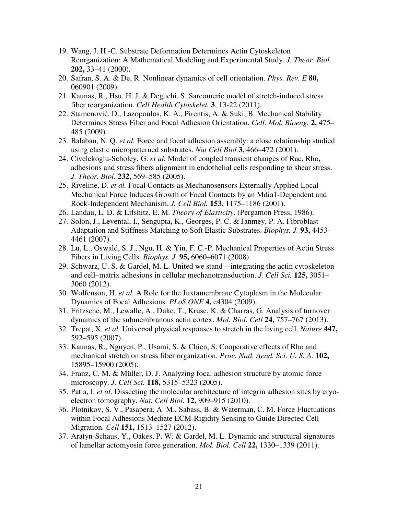- 19. Wang, J. H.-C. Substrate Deformation Determines Actin Cytoskeleton Reorganization: A Mathematical Modeling and Experimental Study. *J. Theor. Biol.* **202,** 33–41 (2000).
- 20. Safran, S. A. & De, R. Nonlinear dynamics of cell orientation. *Phys. Rev. E* **80,** 060901 (2009).
- 21. Kaunas, R., Hsu, H. J. & Deguchi, S. Sarcomeric model of stretch-induced stress fiber reorganization. *Cell Health Cytoskelet.* **3**, 13-22 (2011).
- 22. Stamenović, D., Lazopoulos, K. A., Pirentis, A. & Suki, B. Mechanical Stability Determines Stress Fiber and Focal Adhesion Orientation. *Cell. Mol. Bioeng.* **2,** 475– 485 (2009).
- 23. Balaban, N. Q. *et al.* Force and focal adhesion assembly: a close relationship studied using elastic micropatterned substrates. *Nat Cell Biol* **3,** 466–472 (2001).
- 24. Civelekoglu-Scholey, G. *et al.* Model of coupled transient changes of Rac, Rho, adhesions and stress fibers alignment in endothelial cells responding to shear stress. *J. Theor. Biol.* **232,** 569–585 (2005).
- 25. Riveline, D. *et al.* Focal Contacts as Mechanosensors Externally Applied Local Mechanical Force Induces Growth of Focal Contacts by an Mdia1-Dependent and Rock-Independent Mechanism. *J. Cell Biol.* **153,** 1175–1186 (2001).
- 26. Landau, L. D. & Lifshitz, E. M. *Theory of Elasticity*. (Pergamon Press, 1986).
- 27. Solon, J., Levental, I., Sengupta, K., Georges, P. C. & Janmey, P. A. Fibroblast Adaptation and Stiffness Matching to Soft Elastic Substrates. *Biophys. J.* **93,** 4453– 4461 (2007).
- 28. Lu, L., Oswald, S. J., Ngu, H. & Yin, F. C.-P. Mechanical Properties of Actin Stress Fibers in Living Cells. *Biophys. J.* **95,** 6060–6071 (2008).
- 29. Schwarz, U. S. & Gardel, M. L. United we stand integrating the actin cytoskeleton and cell–matrix adhesions in cellular mechanotransduction. *J. Cell Sci.* **125,** 3051– 3060 (2012).
- 30. Wolfenson, H. *et al.* A Role for the Juxtamembrane Cytoplasm in the Molecular Dynamics of Focal Adhesions. *PLoS ONE* **4,** e4304 (2009).
- 31. Fritzsche, M., Lewalle, A., Duke, T., Kruse, K. & Charras, G. Analysis of turnover dynamics of the submembranous actin cortex. *Mol. Biol. Cell* **24,** 757–767 (2013).
- 32. Trepat, X. *et al.* Universal physical responses to stretch in the living cell. *Nature* **447,** 592–595 (2007).
- 33. Kaunas, R., Nguyen, P., Usami, S. & Chien, S. Cooperative effects of Rho and mechanical stretch on stress fiber organization. *Proc. Natl. Acad. Sci. U. S. A.* **102,** 15895–15900 (2005).
- 34. Franz, C. M. & Müller, D. J. Analyzing focal adhesion structure by atomic force microscopy. *J. Cell Sci.* **118,** 5315–5323 (2005).
- 35. Patla, I. *et al.* Dissecting the molecular architecture of integrin adhesion sites by cryoelectron tomography. *Nat. Cell Biol.* **12,** 909–915 (2010).
- 36. Plotnikov, S. V., Pasapera, A. M., Sabass, B. & Waterman, C. M. Force Fluctuations within Focal Adhesions Mediate ECM-Rigidity Sensing to Guide Directed Cell Migration. *Cell* **151,** 1513–1527 (2012).
- 37. Aratyn-Schaus, Y., Oakes, P. W. & Gardel, M. L. Dynamic and structural signatures of lamellar actomyosin force generation. *Mol. Biol. Cell* **22,** 1330–1339 (2011).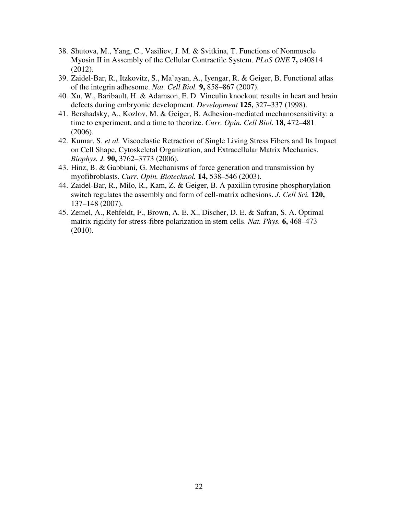- 38. Shutova, M., Yang, C., Vasiliev, J. M. & Svitkina, T. Functions of Nonmuscle Myosin II in Assembly of the Cellular Contractile System. *PLoS ONE* **7,** e40814 (2012).
- 39. Zaidel-Bar, R., Itzkovitz, S., Ma'ayan, A., Iyengar, R. & Geiger, B. Functional atlas of the integrin adhesome. *Nat. Cell Biol.* **9,** 858–867 (2007).
- 40. Xu, W., Baribault, H. & Adamson, E. D. Vinculin knockout results in heart and brain defects during embryonic development. *Development* **125,** 327–337 (1998).
- 41. Bershadsky, A., Kozlov, M. & Geiger, B. Adhesion-mediated mechanosensitivity: a time to experiment, and a time to theorize. *Curr. Opin. Cell Biol.* **18,** 472–481 (2006).
- 42. Kumar, S. *et al.* Viscoelastic Retraction of Single Living Stress Fibers and Its Impact on Cell Shape, Cytoskeletal Organization, and Extracellular Matrix Mechanics. *Biophys. J.* **90,** 3762–3773 (2006).
- 43. Hinz, B. & Gabbiani, G. Mechanisms of force generation and transmission by myofibroblasts. *Curr. Opin. Biotechnol.* **14,** 538–546 (2003).
- 44. Zaidel-Bar, R., Milo, R., Kam, Z. & Geiger, B. A paxillin tyrosine phosphorylation switch regulates the assembly and form of cell-matrix adhesions. *J. Cell Sci.* **120,** 137–148 (2007).
- 45. Zemel, A., Rehfeldt, F., Brown, A. E. X., Discher, D. E. & Safran, S. A. Optimal matrix rigidity for stress-fibre polarization in stem cells. *Nat. Phys.* **6,** 468–473 (2010).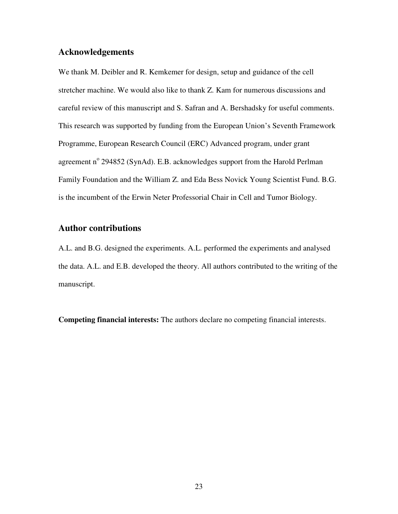# **Acknowledgements**

We thank M. Deibler and R. Kemkemer for design, setup and guidance of the cell stretcher machine. We would also like to thank Z. Kam for numerous discussions and careful review of this manuscript and S. Safran and A. Bershadsky for useful comments. This research was supported by funding from the European Union's Seventh Framework Programme, European Research Council (ERC) Advanced program, under grant agreement nº 294852 (SynAd). E.B. acknowledges support from the Harold Perlman Family Foundation and the William Z. and Eda Bess Novick Young Scientist Fund. B.G. is the incumbent of the Erwin Neter Professorial Chair in Cell and Tumor Biology.

# **Author contributions**

A.L. and B.G. designed the experiments. A.L. performed the experiments and analysed the data. A.L. and E.B. developed the theory. All authors contributed to the writing of the manuscript.

**Competing financial interests:** The authors declare no competing financial interests.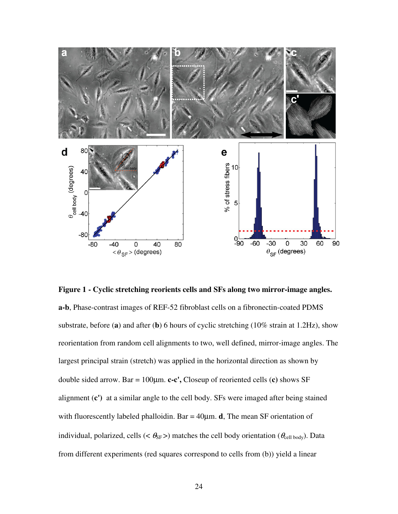

**Figure 1 - Cyclic stretching reorients cells and SFs along two mirror-image angles. a-b**, Phase-contrast images of REF-52 fibroblast cells on a fibronectin-coated PDMS substrate, before (**a**) and after (**b**) 6 hours of cyclic stretching (10% strain at 1.2Hz), show reorientation from random cell alignments to two, well defined, mirror-image angles. The largest principal strain (stretch) was applied in the horizontal direction as shown by double sided arrow. Bar = 100µm. **c-c',** Closeup of reoriented cells (**c)** shows SF alignment (**c')** at a similar angle to the cell body. SFs were imaged after being stained with fluorescently labeled phalloidin. Bar = 40µm. **d**, The mean SF orientation of individual, polarized, cells (<  $\theta_{SF}$ >) matches the cell body orientation ( $\theta_{cell body}$ ). Data from different experiments (red squares correspond to cells from (b)) yield a linear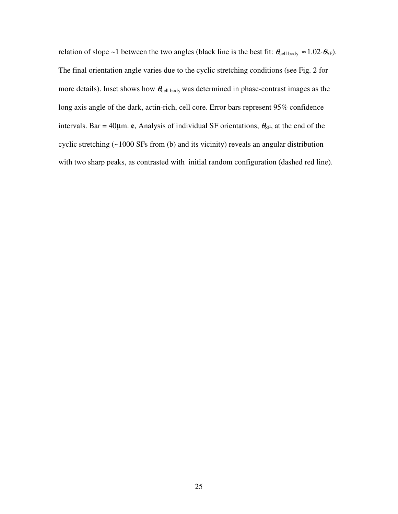relation of slope ~1 between the two angles (black line is the best fit:  $\theta_{cell \text{ body}} \approx 1.02 \cdot \theta_{SF}$ ). The final orientation angle varies due to the cyclic stretching conditions (see Fig. 2 for more details). Inset shows how  $\theta_{\text{cell body}}$  was determined in phase-contrast images as the long axis angle of the dark, actin-rich, cell core. Error bars represent 95% confidence intervals. Bar = 40 $\mu$ m. **e**, Analysis of individual SF orientations,  $\theta_{SF}$ , at the end of the cyclic stretching (~1000 SFs from (b) and its vicinity) reveals an angular distribution with two sharp peaks, as contrasted with initial random configuration (dashed red line).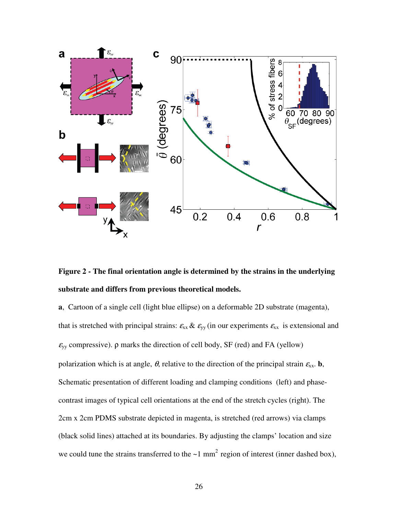

**Figure 2 - The final orientation angle is determined by the strains in the underlying substrate and differs from previous theoretical models.** 

**a**,Cartoon of a single cell (light blue ellipse) on a deformable 2D substrate (magenta), that is stretched with principal strains:  $\varepsilon_{xx} \& \varepsilon_{yy}$  (in our experiments  $\varepsilon_{xx}$  is extensional and  $\varepsilon_{yy}$  compressive).  $\rho$  marks the direction of cell body, SF (red) and FA (yellow) polarization which is at angle,  $\theta$ , relative to the direction of the principal strain  $\epsilon_{xx}$ . **b**, Schematic presentation of different loading and clamping conditions (left) and phasecontrast images of typical cell orientations at the end of the stretch cycles (right). The 2cm x 2cm PDMS substrate depicted in magenta, is stretched (red arrows) via clamps (black solid lines) attached at its boundaries. By adjusting the clamps' location and size we could tune the strains transferred to the  $\sim$ 1 mm<sup>2</sup> region of interest (inner dashed box),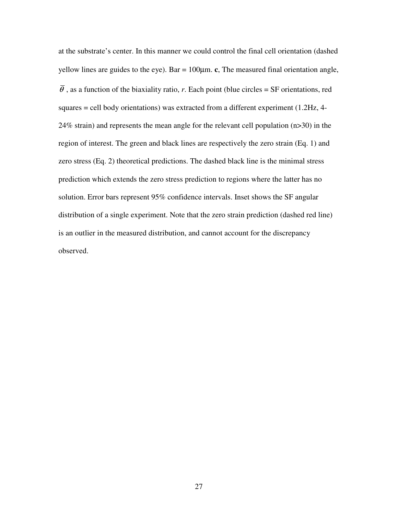at the substrate's center. In this manner we could control the final cell orientation (dashed yellow lines are guides to the eye). Bar = 100µm. **c**, The measured final orientation angle,  $\overline{\theta}$ , as a function of the biaxiality ratio, *r*. Each point (blue circles = SF orientations, red squares = cell body orientations) was extracted from a different experiment (1.2Hz, 4- 24% strain) and represents the mean angle for the relevant cell population (n>30) in the region of interest. The green and black lines are respectively the zero strain (Eq. 1) and zero stress (Eq. 2) theoretical predictions. The dashed black line is the minimal stress prediction which extends the zero stress prediction to regions where the latter has no solution. Error bars represent 95% confidence intervals. Inset shows the SF angular distribution of a single experiment. Note that the zero strain prediction (dashed red line) is an outlier in the measured distribution, and cannot account for the discrepancy observed.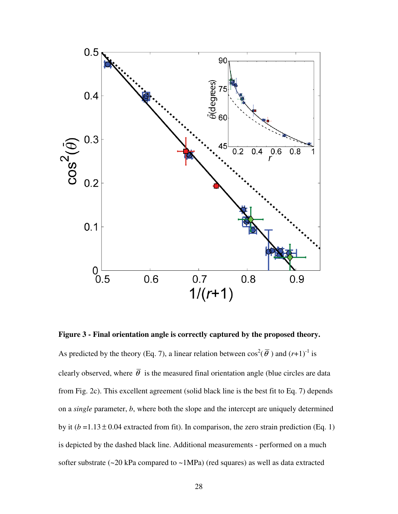

**Figure 3 - Final orientation angle is correctly captured by the proposed theory.**  As predicted by the theory (Eq. 7), a linear relation between  $\cos^2(\overline{\theta})$  and  $(r+1)^{-1}$  is clearly observed, where  $\bar{\theta}$  is the measured final orientation angle (blue circles are data from Fig. 2c). This excellent agreement (solid black line is the best fit to Eq. 7) depends on a *single* parameter, *b*, where both the slope and the intercept are uniquely determined by it  $(b=1.13 \pm 0.04$  extracted from fit). In comparison, the zero strain prediction (Eq. 1) is depicted by the dashed black line. Additional measurements - performed on a much softer substrate (~20 kPa compared to ~1MPa) (red squares) as well as data extracted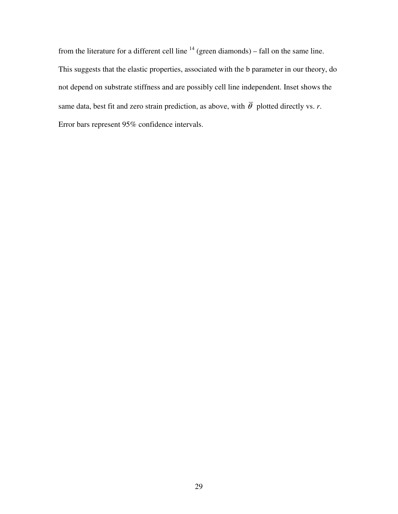from the literature for a different cell line  $14$  (green diamonds) – fall on the same line. This suggests that the elastic properties, associated with the b parameter in our theory, do not depend on substrate stiffness and are possibly cell line independent. Inset shows the same data, best fit and zero strain prediction, as above, with  $\overline{\theta}$  plotted directly vs. *r*. Error bars represent 95% confidence intervals.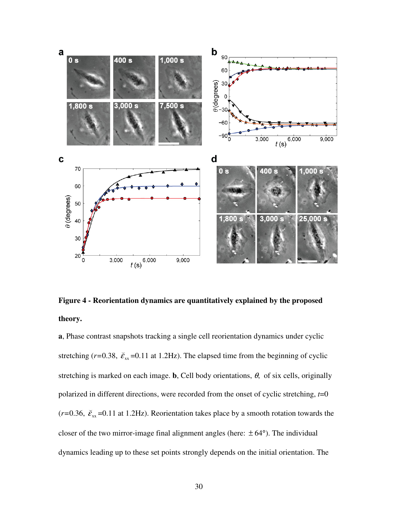

**Figure 4 - Reorientation dynamics are quantitatively explained by the proposed theory.** 

**a**, Phase contrast snapshots tracking a single cell reorientation dynamics under cyclic stretching ( $r=0.38$ ,  $\breve{\varepsilon}_{\rm xx}$ ( =0.11 at 1.2Hz). The elapsed time from the beginning of cyclic stretching is marked on each image. **b**, Cell body orientations,  $\theta$ , of six cells, originally polarized in different directions, were recorded from the onset of cyclic stretching, *t*=0  $(r=0.36, \ \breve{\mathcal{E}}_{xx})$ ( =0.11 at 1.2Hz). Reorientation takes place by a smooth rotation towards the closer of the two mirror-image final alignment angles (here:  $\pm 64^{\circ}$ ). The individual dynamics leading up to these set points strongly depends on the initial orientation. Τhe